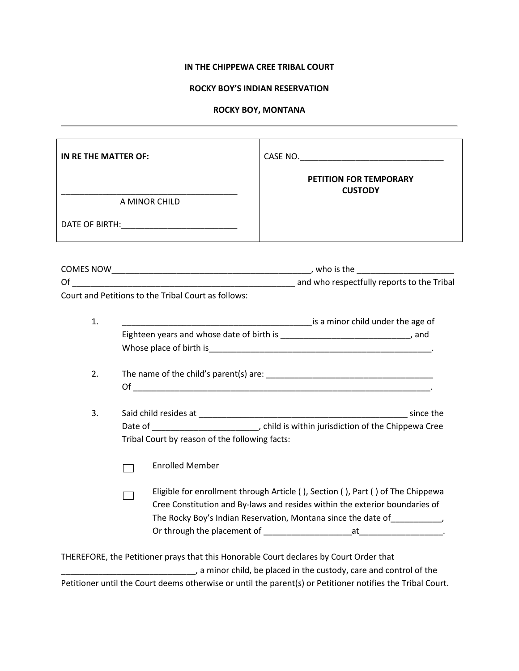# **IN THE CHIPPEWA CREE TRIBAL COURT**

# **ROCKY BOY'S INDIAN RESERVATION**

### **ROCKY BOY, MONTANA**

| IN RE THE MATTER OF:                                                                                                                                                                                                                         |                                                                                        |                                                                                                                                                                                |  |
|----------------------------------------------------------------------------------------------------------------------------------------------------------------------------------------------------------------------------------------------|----------------------------------------------------------------------------------------|--------------------------------------------------------------------------------------------------------------------------------------------------------------------------------|--|
|                                                                                                                                                                                                                                              | A MINOR CHILD                                                                          | PETITION FOR TEMPORARY<br><b>CUSTODY</b>                                                                                                                                       |  |
|                                                                                                                                                                                                                                              |                                                                                        |                                                                                                                                                                                |  |
|                                                                                                                                                                                                                                              |                                                                                        |                                                                                                                                                                                |  |
|                                                                                                                                                                                                                                              |                                                                                        |                                                                                                                                                                                |  |
|                                                                                                                                                                                                                                              | Court and Petitions to the Tribal Court as follows:                                    |                                                                                                                                                                                |  |
| 1.                                                                                                                                                                                                                                           |                                                                                        | is a minor child under the age of                                                                                                                                              |  |
|                                                                                                                                                                                                                                              | Eighteen years and whose date of birth is _________________________________, and       |                                                                                                                                                                                |  |
|                                                                                                                                                                                                                                              |                                                                                        |                                                                                                                                                                                |  |
| 2.                                                                                                                                                                                                                                           | $Of complement is a set of complement to complement.$                                  |                                                                                                                                                                                |  |
| 3.                                                                                                                                                                                                                                           |                                                                                        |                                                                                                                                                                                |  |
|                                                                                                                                                                                                                                              |                                                                                        |                                                                                                                                                                                |  |
|                                                                                                                                                                                                                                              | Tribal Court by reason of the following facts:                                         |                                                                                                                                                                                |  |
|                                                                                                                                                                                                                                              | <b>Enrolled Member</b>                                                                 |                                                                                                                                                                                |  |
| Eligible for enrollment through Article (), Section (), Part () of The Chippewa<br>Cree Constitution and By-laws and resides within the exterior boundaries of<br>The Rocky Boy's Indian Reservation, Montana since the date of ___________, |                                                                                        |                                                                                                                                                                                |  |
|                                                                                                                                                                                                                                              |                                                                                        |                                                                                                                                                                                |  |
|                                                                                                                                                                                                                                              | THEREFORE, the Petitioner prays that this Honorable Court declares by Court Order that | a minor child, be placed in the custody, care and control of the<br>Petitioner until the Court deems otherwise or until the parent(s) or Petitioner notifies the Tribal Court. |  |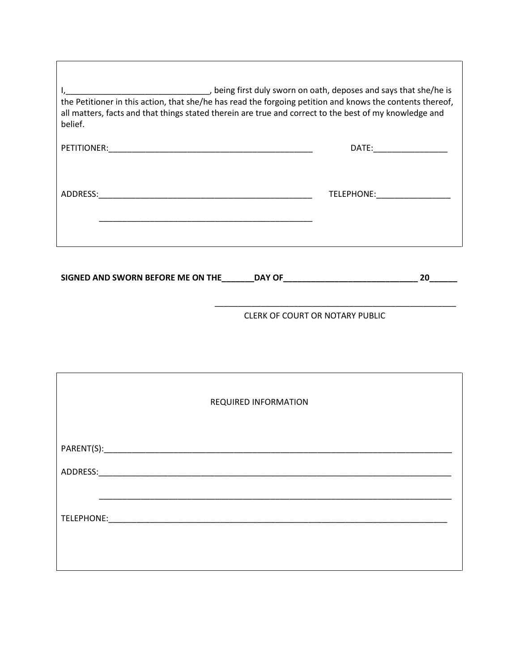| being first duly sworn on oath, deposes and says that she/he is (<br>the Petitioner in this action, that she/he has read the forgoing petition and knows the contents thereof,<br>all matters, facts and that things stated therein are true and correct to the best of my knowledge and<br>belief. |                         |  |
|-----------------------------------------------------------------------------------------------------------------------------------------------------------------------------------------------------------------------------------------------------------------------------------------------------|-------------------------|--|
|                                                                                                                                                                                                                                                                                                     | DATE: _________________ |  |
| ADDRESS:<br><u> 1989 - Johann John Stone, mars eta biztanleria (</u>                                                                                                                                                                                                                                | TELEPHONE: TELEPHONE    |  |
| SIGNED AND SWORN BEFORE ME ON THE<br><b>DAY OF</b>                                                                                                                                                                                                                                                  | 20                      |  |

Г

CLERK OF COURT OR NOTARY PUBLIC

\_\_\_\_\_\_\_\_\_\_\_\_\_\_\_\_\_\_\_\_\_\_\_\_\_\_\_\_\_\_\_\_\_\_\_\_\_\_\_\_\_\_\_\_\_\_\_\_\_\_\_\_

| <b>REQUIRED INFORMATION</b> |
|-----------------------------|
|                             |
|                             |
|                             |
|                             |
|                             |